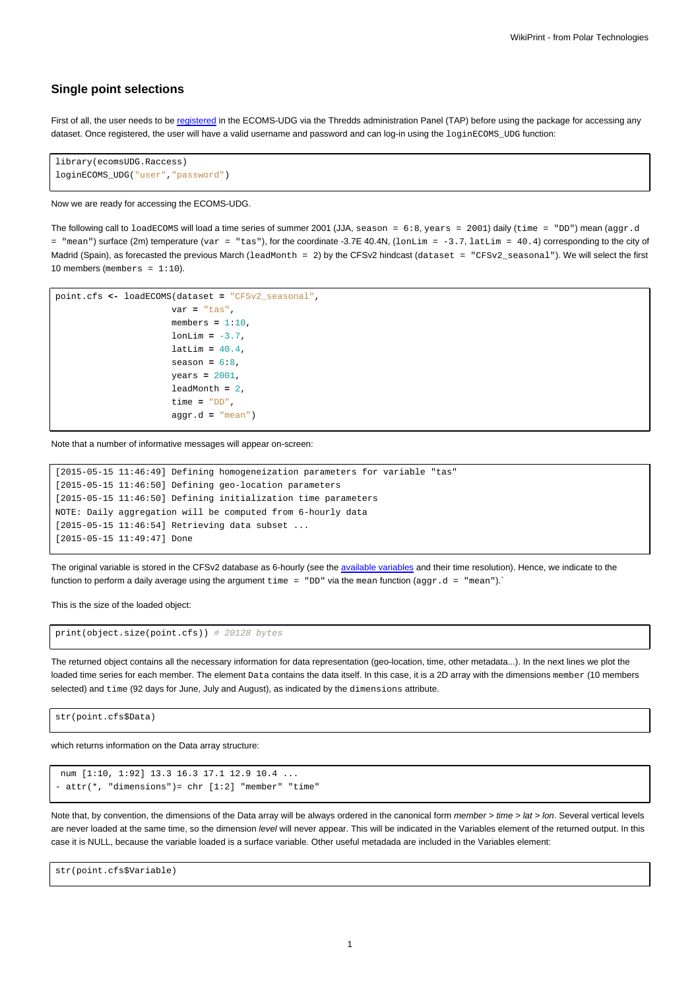## **Single point selections**

First of all, the user needs to be [registered](https://meteo.unican.es/trac/wiki/udg/registration) in the ECOMS-UDG via the Thredds administration Panel (TAP) before using the package for accessing any dataset. Once registered, the user will have a valid username and password and can log-in using the loginECOMS\_UDG function:

```
library(ecomsUDG.Raccess)
loginECOMS_UDG("user","password")
```
## Now we are ready for accessing the ECOMS-UDG.

The following call to loadECOMS will load a time series of summer 2001 (JJA, season = 6:8, years = 2001) daily (time = "DD") mean (aggr.d = "mean") surface (2m) temperature (var = "tas"), for the coordinate -3.7E 40.4N, (lonLim = -3.7, latLim = 40.4) corresponding to the city of Madrid (Spain), as forecasted the previous March (leadMonth = 2) by the CFSv2 hindcast (dataset = "CFSv2\_seasonal"). We will select the first 10 members (members =  $1:10$ ).

```
point.cfs <- loadECOMS(dataset = "CFSv2_seasonal",
                      var = "tas",
                      members = 1:10,
                      lonLim = -3.7,
                      latLim = 40.4,
                      season = 6:8,
                      years = 2001,
                      leadMonth = 2,
                      time = "DD",
                      aggr.d = "mean")
```
Note that a number of informative messages will appear on-screen:

```
[2015-05-15 11:46:49] Defining homogeneization parameters for variable "tas"
[2015-05-15 11:46:50] Defining geo-location parameters
[2015-05-15 11:46:50] Defining initialization time parameters
NOTE: Daily aggregation will be computed from 6-hourly data
[2015-05-15 11:46:54] Retrieving data subset ...
[2015-05-15 11:49:47] Done
```
The original variable is stored in the CFSv2 database as 6-hourly (see the [available variables](https://meteo.unican.es/trac/wiki/udg/ecoms/dataserver/listofvariables) and their time resolution). Hence, we indicate to the function to perform a daily average using the argument  $\tt time = "DD"$  via the mean function ( $\text{aggr.d} = "mean").$ 

This is the size of the loaded object:

print(object.size(point.cfs)) # 20128 bytes

The returned object contains all the necessary information for data representation (geo-location, time, other metadata...). In the next lines we plot the loaded time series for each member. The element Data contains the data itself. In this case, it is a 2D array with the dimensions member (10 members selected) and time (92 days for June, July and August), as indicated by the dimensions attribute.

str(point.cfs\$Data)

which returns information on the Data array structure:

```
num [1:10, 1:92] 13.3 16.3 17.1 12.9 10.4 ...
- attr(*, "dimensions") = chr [1:2] "member" "time"
```
Note that, by convention, the dimensions of the Data array will be always ordered in the canonical form member > time > lat > lon. Several vertical levels are never loaded at the same time, so the dimension level will never appear. This will be indicated in the Variables element of the returned output. In this case it is NULL, because the variable loaded is a surface variable. Other useful metadada are included in the Variables element:

str(point.cfs\$Variable)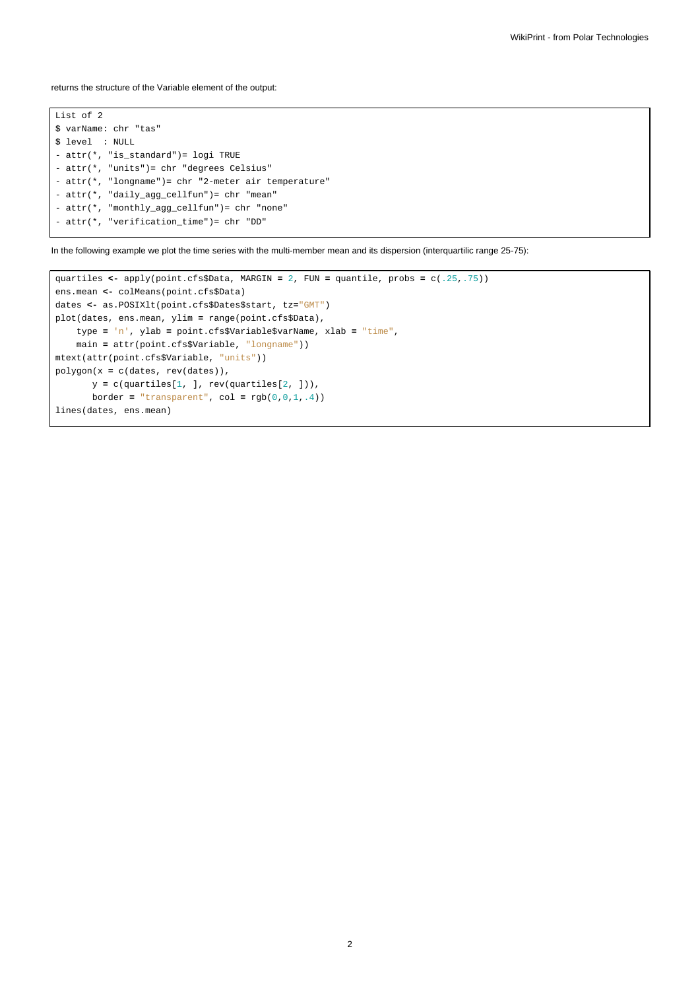returns the structure of the Variable element of the output:

List of 2 \$ varName: chr "tas" \$ level : NULL - attr(\*, "is\_standard")= logi TRUE - attr(\*, "units")= chr "degrees Celsius" - attr(\*, "longname")= chr "2-meter air temperature" - attr(\*, "daily\_agg\_cellfun")= chr "mean" - attr(\*, "monthly\_agg\_cellfun")= chr "none" - attr(\*, "verification\_time")= chr "DD"

In the following example we plot the time series with the multi-member mean and its dispersion (interquartilic range 25-75):

```
quartiles <- apply(point.cfs$Data, MARGIN = 2, FUN = quantile, probs = c(.25,.75))
ens.mean <- colMeans(point.cfs$Data)
dates <- as.POSIXlt(point.cfs$Dates$start, tz="GMT")
plot(dates, ens.mean, ylim = range(point.cfs$Data),
   type = 'n', ylab = point.cfs$Variable$varName, xlab = "time",
    main = attr(point.cfs$Variable, "longname"))
mtext(attr(point.cfs$Variable, "units"))
polygon(x = c(dates, rev(dates)),
      y = c(quartiles[1, ], rev(quartiles[2, ])),
      border = "transparent", col = rgb(0,0,1,.4))
lines(dates, ens.mean)
```